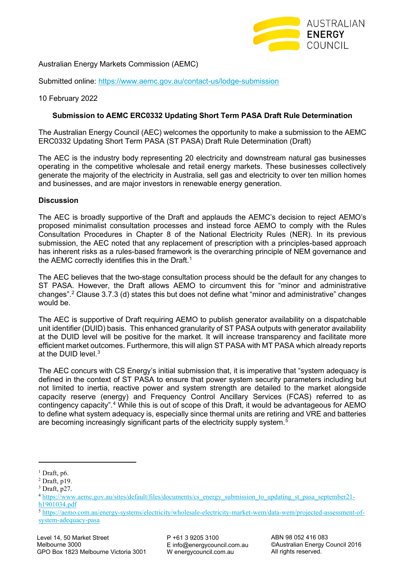

Australian Energy Markets Commission (AEMC)

Submitted online: <https://www.aemc.gov.au/contact-us/lodge-submission>

## 10 February 2022

## **Submission to AEMC ERC0332 Updating Short Term PASA Draft Rule Determination**

The Australian Energy Council (AEC) welcomes the opportunity to make a submission to the AEMC ERC0332 Updating Short Term PASA (ST PASA) Draft Rule Determination (Draft)

The AEC is the industry body representing 20 electricity and downstream natural gas businesses operating in the competitive wholesale and retail energy markets. These businesses collectively generate the majority of the electricity in Australia, sell gas and electricity to over ten million homes and businesses, and are major investors in renewable energy generation.

## **Discussion**

The AEC is broadly supportive of the Draft and applauds the AEMC's decision to reject AEMO's proposed minimalist consultation processes and instead force AEMO to comply with the Rules Consultation Procedures in Chapter 8 of the National Electricity Rules (NER). In its previous submission, the AEC noted that any replacement of prescription with a principles-based approach has inherent risks as a rules-based framework is the overarching principle of NEM governance and the AEMC correctly identifies this in the Draft.<sup>[1](#page-0-0)</sup>

The AEC believes that the two-stage consultation process should be the default for any changes to ST PASA. However, the Draft allows AEMO to circumvent this for "minor and administrative changes"[.2](#page-0-1) Clause 3.7.3 (d) states this but does not define what "minor and administrative" changes would be.

The AEC is supportive of Draft requiring AEMO to publish generator availability on a dispatchable unit identifier (DUID) basis. This enhanced granularity of ST PASA outputs with generator availability at the DUID level will be positive for the market. It will increase transparency and facilitate more efficient market outcomes. Furthermore, this will align ST PASA with MT PASA which already reports at the  $DIJID$  level  $3$ 

The AEC concurs with CS Energy's initial submission that, it is imperative that "system adequacy is defined in the context of ST PASA to ensure that power system security parameters including but not limited to inertia, reactive power and system strength are detailed to the market alongside capacity reserve (energy) and Frequency Control Ancillary Services (FCAS) referred to as contingency capacity".<sup>[4](#page-0-3)</sup> While this is out of scope of this Draft, it would be advantageous for AEMO to define what system adequacy is, especially since thermal units are retiring and VRE and batteries are becoming increasingly significant parts of the electricity supply system. [5](#page-0-4)

<span id="page-0-0"></span> $<sup>1</sup>$  Draft, p6.</sup>

<span id="page-0-1"></span><sup>2</sup> Draft, p19.

<span id="page-0-2"></span> $3$  Draft, p27.

<span id="page-0-3"></span><sup>4</sup> [https://www.aemc.gov.au/sites/default/files/documents/cs\\_energy\\_submission\\_to\\_updating\\_st\\_pasa\\_september21](https://www.aemc.gov.au/sites/default/files/documents/cs_energy_submission_to_updating_st_pasa_september21-h1901034.pdf) [h1901034.pdf](https://www.aemc.gov.au/sites/default/files/documents/cs_energy_submission_to_updating_st_pasa_september21-h1901034.pdf)

<span id="page-0-4"></span><sup>5</sup> [https://aemo.com.au/energy-systems/electricity/wholesale-electricity-market-wem/data-wem/projected-assessment-of](https://aemo.com.au/energy-systems/electricity/wholesale-electricity-market-wem/data-wem/projected-assessment-of-system-adequacy-pasa)[system-adequacy-pasa](https://aemo.com.au/energy-systems/electricity/wholesale-electricity-market-wem/data-wem/projected-assessment-of-system-adequacy-pasa)